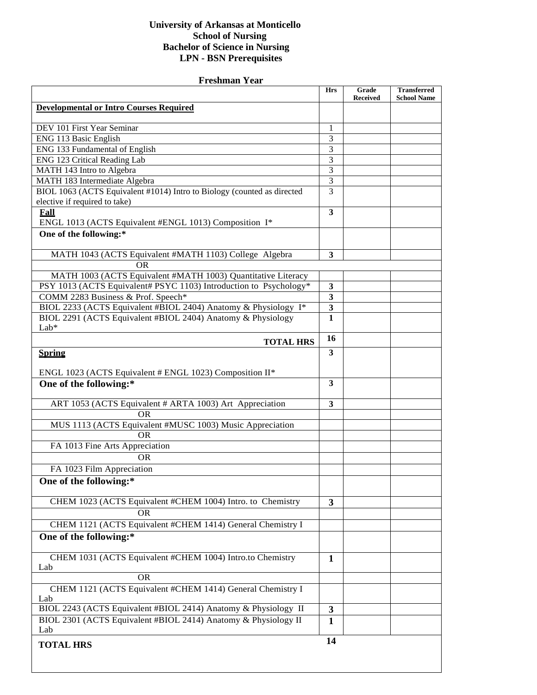## **University of Arkansas at Monticello School of Nursing Bachelor of Science in Nursing LPN - BSN Prerequisites**

| <b>Freshman Year</b>                                                    |                         |                 |                    |  |
|-------------------------------------------------------------------------|-------------------------|-----------------|--------------------|--|
|                                                                         | <b>Hrs</b>              | Grade           | <b>Transferred</b> |  |
| <b>Developmental or Intro Courses Required</b>                          |                         | <b>Received</b> | <b>School Name</b> |  |
|                                                                         |                         |                 |                    |  |
| DEV 101 First Year Seminar                                              | 1                       |                 |                    |  |
| ENG 113 Basic English                                                   | 3                       |                 |                    |  |
| ENG 133 Fundamental of English                                          | 3                       |                 |                    |  |
| ENG 123 Critical Reading Lab                                            | 3                       |                 |                    |  |
| MATH 143 Intro to Algebra                                               | 3                       |                 |                    |  |
| MATH 183 Intermediate Algebra                                           | $\overline{3}$          |                 |                    |  |
| BIOL 1063 (ACTS Equivalent #1014) Intro to Biology (counted as directed | $\overline{3}$          |                 |                    |  |
| elective if required to take)                                           |                         |                 |                    |  |
| <b>Fall</b><br>ENGL 1013 (ACTS Equivalent #ENGL 1013) Composition I*    | $\overline{\mathbf{3}}$ |                 |                    |  |
| One of the following:*                                                  |                         |                 |                    |  |
|                                                                         |                         |                 |                    |  |
| MATH 1043 (ACTS Equivalent #MATH 1103) College Algebra                  | 3                       |                 |                    |  |
| OR                                                                      |                         |                 |                    |  |
| MATH 1003 (ACTS Equivalent #MATH 1003) Quantitative Literacy            |                         |                 |                    |  |
| PSY 1013 (ACTS Equivalent# PSYC 1103) Introduction to Psychology*       | 3                       |                 |                    |  |
| COMM 2283 Business & Prof. Speech*                                      | 3                       |                 |                    |  |
| BIOL 2233 (ACTS Equivalent #BIOL 2404) Anatomy & Physiology I*          | $\mathbf{3}$            |                 |                    |  |
| BIOL 2291 (ACTS Equivalent #BIOL 2404) Anatomy & Physiology             | $\mathbf{1}$            |                 |                    |  |
| Lab*                                                                    |                         |                 |                    |  |
| <b>TOTAL HRS</b>                                                        | 16                      |                 |                    |  |
| <b>Spring</b>                                                           | $\overline{\mathbf{3}}$ |                 |                    |  |
| ENGL 1023 (ACTS Equivalent # ENGL 1023) Composition II*                 |                         |                 |                    |  |
| One of the following:*                                                  | 3                       |                 |                    |  |
|                                                                         |                         |                 |                    |  |
| ART 1053 (ACTS Equivalent # ARTA 1003) Art Appreciation                 | $\mathbf{3}$            |                 |                    |  |
| <b>OR</b>                                                               |                         |                 |                    |  |
| MUS 1113 (ACTS Equivalent #MUSC 1003) Music Appreciation                |                         |                 |                    |  |
| <b>OR</b>                                                               |                         |                 |                    |  |
| FA 1013 Fine Arts Appreciation                                          |                         |                 |                    |  |
| <b>OR</b>                                                               |                         |                 |                    |  |
| FA 1023 Film Appreciation                                               |                         |                 |                    |  |
| One of the following:*                                                  |                         |                 |                    |  |
|                                                                         |                         |                 |                    |  |
| CHEM 1023 (ACTS Equivalent #CHEM 1004) Intro. to Chemistry              | $\mathbf{3}$            |                 |                    |  |
| <b>OR</b>                                                               |                         |                 |                    |  |
| CHEM 1121 (ACTS Equivalent #CHEM 1414) General Chemistry I              |                         |                 |                    |  |
| One of the following:*                                                  |                         |                 |                    |  |
| CHEM 1031 (ACTS Equivalent #CHEM 1004) Intro.to Chemistry               | 1                       |                 |                    |  |
| Lab                                                                     |                         |                 |                    |  |
| <b>OR</b>                                                               |                         |                 |                    |  |
| CHEM 1121 (ACTS Equivalent #CHEM 1414) General Chemistry I<br>Lab       |                         |                 |                    |  |
| BIOL 2243 (ACTS Equivalent #BIOL 2414) Anatomy & Physiology II          | 3                       |                 |                    |  |
| BIOL 2301 (ACTS Equivalent #BIOL 2414) Anatomy & Physiology II          | $\mathbf{1}$            |                 |                    |  |
| Lab                                                                     |                         |                 |                    |  |
| <b>TOTAL HRS</b>                                                        | 14                      |                 |                    |  |
|                                                                         |                         |                 |                    |  |